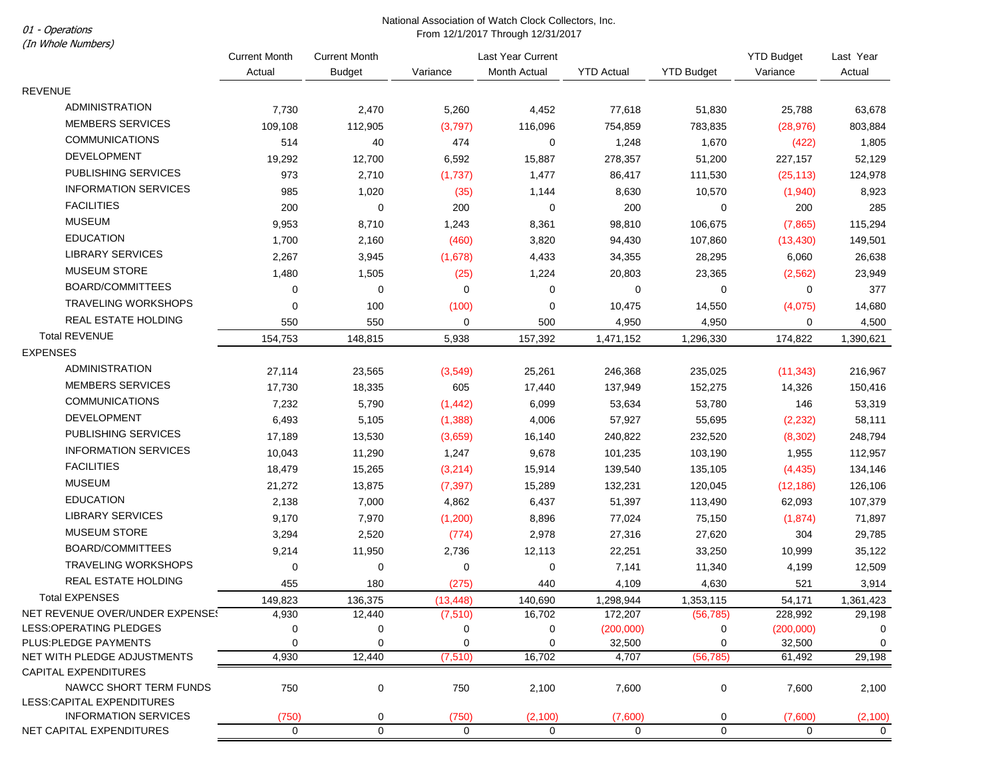## National Association of Watch Clock Collectors, Inc. From 12/1/2017 Through 12/31/2017 From 12/1/2017 Through 12/31/2017

| (In Whole Numbers)              | 11011112111201111110011112101120111 |                      |           |                   |                   |                   |                   |             |
|---------------------------------|-------------------------------------|----------------------|-----------|-------------------|-------------------|-------------------|-------------------|-------------|
|                                 | <b>Current Month</b>                | <b>Current Month</b> |           | Last Year Current |                   |                   | <b>YTD Budget</b> | Last Year   |
|                                 | Actual                              | <b>Budget</b>        | Variance  | Month Actual      | <b>YTD Actual</b> | <b>YTD Budget</b> | Variance          | Actual      |
| <b>REVENUE</b>                  |                                     |                      |           |                   |                   |                   |                   |             |
| <b>ADMINISTRATION</b>           | 7,730                               | 2,470                | 5,260     | 4,452             | 77,618            | 51,830            | 25,788            | 63,678      |
| <b>MEMBERS SERVICES</b>         | 109,108                             | 112,905              | (3,797)   | 116,096           | 754,859           | 783,835           | (28, 976)         | 803,884     |
| <b>COMMUNICATIONS</b>           | 514                                 | 40                   | 474       | 0                 | 1,248             | 1,670             | (422)             | 1,805       |
| <b>DEVELOPMENT</b>              | 19,292                              | 12,700               | 6,592     | 15,887            | 278,357           | 51,200            | 227,157           | 52,129      |
| PUBLISHING SERVICES             | 973                                 | 2,710                | (1,737)   | 1,477             | 86,417            | 111,530           | (25, 113)         | 124,978     |
| <b>INFORMATION SERVICES</b>     | 985                                 | 1,020                | (35)      | 1,144             | 8,630             | 10,570            | (1,940)           | 8,923       |
| <b>FACILITIES</b>               | 200                                 | 0                    | 200       | 0                 | 200               | 0                 | 200               | 285         |
| <b>MUSEUM</b>                   | 9,953                               | 8,710                | 1,243     | 8,361             | 98,810            | 106,675           | (7, 865)          | 115,294     |
| <b>EDUCATION</b>                | 1,700                               | 2,160                | (460)     | 3,820             | 94,430            | 107,860           | (13, 430)         | 149,501     |
| <b>LIBRARY SERVICES</b>         | 2,267                               | 3,945                | (1,678)   | 4,433             | 34,355            | 28,295            | 6,060             | 26,638      |
| <b>MUSEUM STORE</b>             | 1,480                               | 1,505                | (25)      | 1,224             | 20,803            | 23,365            | (2, 562)          | 23,949      |
| <b>BOARD/COMMITTEES</b>         | 0                                   | 0                    | 0         | 0                 | 0                 | 0                 | 0                 | 377         |
| <b>TRAVELING WORKSHOPS</b>      | $\mathbf 0$                         | 100                  | (100)     | 0                 | 10,475            | 14,550            | (4,075)           | 14,680      |
| REAL ESTATE HOLDING             | 550                                 | 550                  | 0         | 500               | 4,950             | 4,950             | 0                 | 4,500       |
| <b>Total REVENUE</b>            | 154,753                             | 148,815              | 5,938     | 157,392           | 1,471,152         | 1,296,330         | 174,822           | 1,390,621   |
| <b>EXPENSES</b>                 |                                     |                      |           |                   |                   |                   |                   |             |
| <b>ADMINISTRATION</b>           | 27,114                              | 23,565               | (3, 549)  | 25,261            | 246,368           | 235,025           | (11, 343)         | 216,967     |
| <b>MEMBERS SERVICES</b>         | 17,730                              | 18,335               | 605       | 17,440            | 137,949           | 152,275           | 14,326            | 150,416     |
| <b>COMMUNICATIONS</b>           | 7,232                               | 5,790                | (1, 442)  | 6,099             | 53,634            | 53,780            | 146               | 53,319      |
| <b>DEVELOPMENT</b>              | 6,493                               | 5,105                | (1, 388)  | 4,006             | 57,927            | 55,695            | (2, 232)          | 58,111      |
| PUBLISHING SERVICES             | 17,189                              | 13,530               | (3,659)   | 16,140            | 240,822           | 232,520           | (8,302)           | 248,794     |
| <b>INFORMATION SERVICES</b>     | 10,043                              | 11,290               | 1,247     | 9,678             | 101,235           | 103,190           | 1,955             | 112,957     |
| <b>FACILITIES</b>               | 18,479                              | 15,265               | (3,214)   | 15,914            | 139,540           | 135,105           | (4, 435)          | 134,146     |
| <b>MUSEUM</b>                   | 21,272                              | 13,875               | (7, 397)  | 15,289            | 132,231           | 120,045           | (12, 186)         | 126,106     |
| <b>EDUCATION</b>                | 2,138                               | 7,000                | 4,862     | 6,437             | 51,397            | 113,490           | 62,093            | 107,379     |
| <b>LIBRARY SERVICES</b>         | 9,170                               | 7,970                | (1,200)   | 8,896             | 77,024            | 75,150            | (1,874)           | 71,897      |
| <b>MUSEUM STORE</b>             | 3,294                               | 2,520                | (774)     | 2,978             | 27,316            | 27,620            | 304               | 29,785      |
| <b>BOARD/COMMITTEES</b>         | 9,214                               | 11,950               | 2,736     | 12,113            | 22,251            | 33,250            | 10,999            | 35,122      |
| <b>TRAVELING WORKSHOPS</b>      | $\mathbf 0$                         | 0                    | 0         | $\mathbf 0$       | 7,141             | 11,340            | 4,199             | 12,509      |
| REAL ESTATE HOLDING             | 455                                 | 180                  | (275)     | 440               | 4,109             | 4,630             | 521               | 3,914       |
| <b>Total EXPENSES</b>           | 149,823                             | 136,375              | (13, 448) | 140,690           | 1,298,944         | 1,353,115         | 54,171            | 1,361,423   |
| NET REVENUE OVER/UNDER EXPENSE! | 4,930                               | 12,440               | (7, 510)  | 16,702            | 172,207           | (56, 785)         | 228,992           | 29,198      |
| LESS: OPERATING PLEDGES         |                                     | 0                    | 0         | 0                 | (200,000)         | 0                 | (200,000)         | 0           |
| PLUS: PLEDGE PAYMENTS           | 0                                   | 0                    | 0         | 0                 | 32,500            | 0                 | 32,500            | $\mathbf 0$ |
| NET WITH PLEDGE ADJUSTMENTS     | 4,930                               | 12,440               | (7, 510)  | 16,702            | 4,707             | (56, 785)         | 61,492            | 29,198      |
| <b>CAPITAL EXPENDITURES</b>     |                                     |                      |           |                   |                   |                   |                   |             |
| NAWCC SHORT TERM FUNDS          | 750                                 | 0                    | 750       | 2,100             | 7,600             | 0                 | 7,600             | 2,100       |
| LESS:CAPITAL EXPENDITURES       |                                     |                      |           |                   |                   |                   |                   |             |
| <b>INFORMATION SERVICES</b>     | (750)                               | 0                    | (750)     | (2, 100)          | (7,600)           | 0                 | (7,600)           | (2, 100)    |
| NET CAPITAL EXPENDITURES        | $\mathbf{0}$                        | $\mathbf 0$          | 0         | 0                 | $\mathbf 0$       | 0                 | $\mathbf{0}$      | $\Omega$    |